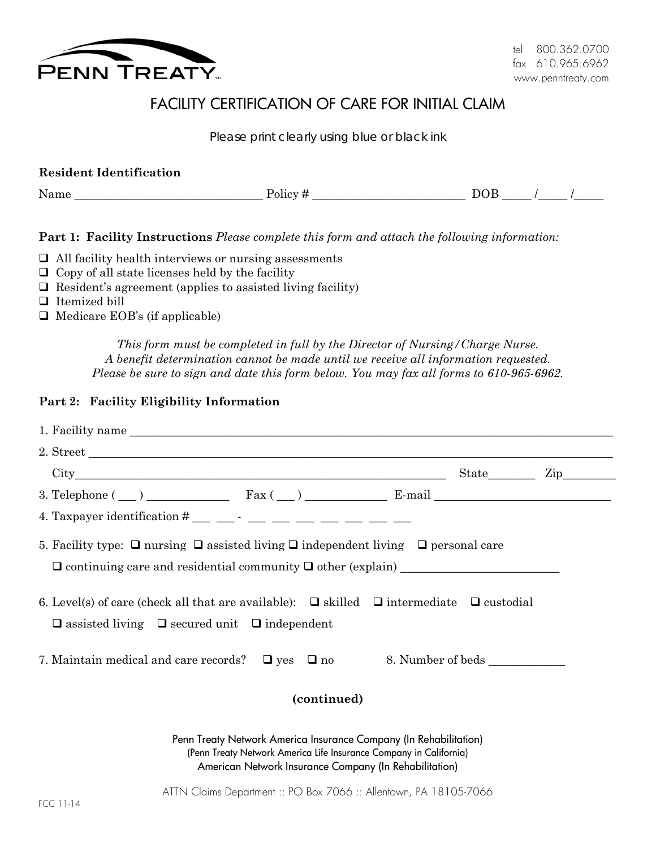

# FACILITY CERTIFICATION OF CARE FOR INITIAL CLAIM

*Please print clearly using blue or black ink*

| <b>Resident Identification</b> |         |     |  |
|--------------------------------|---------|-----|--|
| Name                           | Policy# | DOB |  |

**Part 1: Facility Instructions** *Please complete this form and attach the following information:*

- $\Box$  All facility health interviews or nursing assessments
- $\Box$  Copy of all state licenses held by the facility
- $\Box$  Resident's agreement (applies to assisted living facility)
- □ Itemized bill
- $\Box$  Medicare EOB's (if applicable)

*This form must be completed in full by the Director of Nursing/Charge Nurse. A benefit determination cannot be made until we receive all information requested. Please be sure to sign and date this form below. You may fax all forms to 610-965-6962.*

#### **Part 2: Facility Eligibility Information**

| 2. Street                                                                                                                                                                                         |  |  |  |  |
|---------------------------------------------------------------------------------------------------------------------------------------------------------------------------------------------------|--|--|--|--|
|                                                                                                                                                                                                   |  |  |  |  |
| 3. Telephone $(\_\)$ Fax $(\_\)$ Fax $(\_\)$ E-mail                                                                                                                                               |  |  |  |  |
| 4. Taxpayer identification $^{\#}$ _________ ___ ___ ___ ___ ___                                                                                                                                  |  |  |  |  |
| 5. Facility type: $\Box$ nursing $\Box$ assisted living $\Box$ independent living $\Box$ personal care                                                                                            |  |  |  |  |
| 6. Level(s) of care (check all that are available): $\Box$ skilled $\Box$ intermediate $\Box$ custodial<br>$\Box$ assisted living $\Box$ secured unit $\Box$ independent                          |  |  |  |  |
|                                                                                                                                                                                                   |  |  |  |  |
| (continued)                                                                                                                                                                                       |  |  |  |  |
| Penn Treaty Network America Insurance Company (In Rehabilitation)<br>(Penn Treaty Network America Life Insurance Company in California)<br>American Network Insurance Company (In Rehabilitation) |  |  |  |  |
| ATTN Claims Department :: PO Box 7066 :: Allentown, PA 18105-7066                                                                                                                                 |  |  |  |  |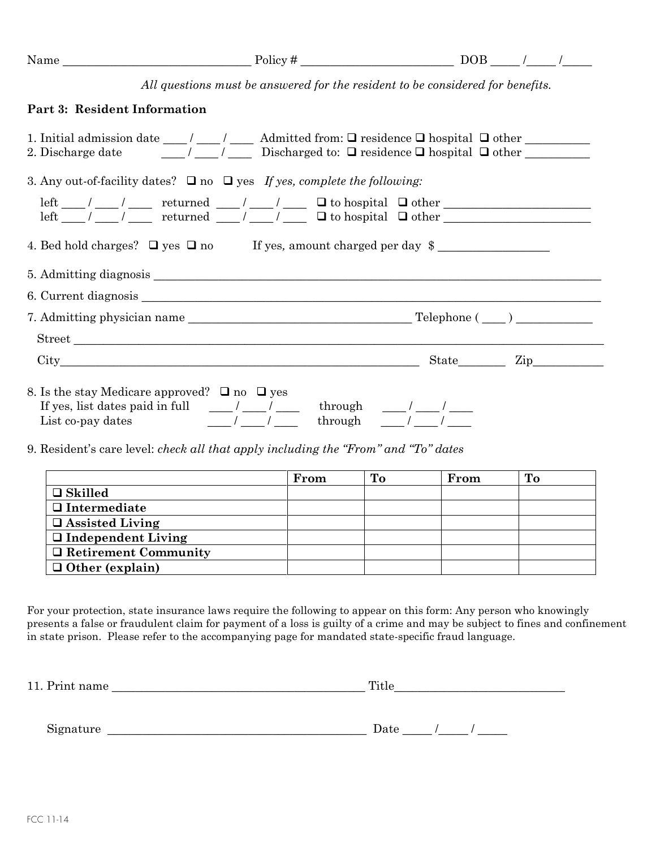| All questions must be answered for the resident to be considered for benefits.<br>Part 3: Resident Information<br>1. Initial admission date ___/ ___/ ___ Admitted from: $\Box$ residence $\Box$ hospital $\Box$ other ________<br>2. Discharge date $\frac{1}{\sqrt{2}}$ $\frac{1}{\sqrt{2}}$ Discharged to: $\Box$ residence $\Box$ hospital $\Box$ other<br>3. Any out-of-facility dates? $\Box$ no $\Box$ yes If yes, complete the following:<br>$\begin{tabular}{l c c c c c c c} \hline left & // & // & returned & // & // & \hline & // & \hline & & doubler & & \\ \hline left & // & // & returned & // & // & \hline & \hline & & doubler & & \\ \hline \end{tabular}$<br>4. Bed hold charges? $\Box$ yes $\Box$ no If yes, amount charged per day $\Diamond$<br>$City$ $City$ $Zip$ $Zip$<br>8. Is the stay Medicare approved? $\Box$ no $\Box$ yes |  |  |
|-----------------------------------------------------------------------------------------------------------------------------------------------------------------------------------------------------------------------------------------------------------------------------------------------------------------------------------------------------------------------------------------------------------------------------------------------------------------------------------------------------------------------------------------------------------------------------------------------------------------------------------------------------------------------------------------------------------------------------------------------------------------------------------------------------------------------------------------------------------------|--|--|
|                                                                                                                                                                                                                                                                                                                                                                                                                                                                                                                                                                                                                                                                                                                                                                                                                                                                 |  |  |
|                                                                                                                                                                                                                                                                                                                                                                                                                                                                                                                                                                                                                                                                                                                                                                                                                                                                 |  |  |
|                                                                                                                                                                                                                                                                                                                                                                                                                                                                                                                                                                                                                                                                                                                                                                                                                                                                 |  |  |
|                                                                                                                                                                                                                                                                                                                                                                                                                                                                                                                                                                                                                                                                                                                                                                                                                                                                 |  |  |
|                                                                                                                                                                                                                                                                                                                                                                                                                                                                                                                                                                                                                                                                                                                                                                                                                                                                 |  |  |
|                                                                                                                                                                                                                                                                                                                                                                                                                                                                                                                                                                                                                                                                                                                                                                                                                                                                 |  |  |
|                                                                                                                                                                                                                                                                                                                                                                                                                                                                                                                                                                                                                                                                                                                                                                                                                                                                 |  |  |
|                                                                                                                                                                                                                                                                                                                                                                                                                                                                                                                                                                                                                                                                                                                                                                                                                                                                 |  |  |
|                                                                                                                                                                                                                                                                                                                                                                                                                                                                                                                                                                                                                                                                                                                                                                                                                                                                 |  |  |
|                                                                                                                                                                                                                                                                                                                                                                                                                                                                                                                                                                                                                                                                                                                                                                                                                                                                 |  |  |
|                                                                                                                                                                                                                                                                                                                                                                                                                                                                                                                                                                                                                                                                                                                                                                                                                                                                 |  |  |
|                                                                                                                                                                                                                                                                                                                                                                                                                                                                                                                                                                                                                                                                                                                                                                                                                                                                 |  |  |
| 9. Resident's care level: <i>check all that apply including the "From" and "To" dates</i>                                                                                                                                                                                                                                                                                                                                                                                                                                                                                                                                                                                                                                                                                                                                                                       |  |  |

|                             | From | From | To |
|-----------------------------|------|------|----|
| $\Box$ Skilled              |      |      |    |
| $\Box$ Intermediate         |      |      |    |
| $\Box$ Assisted Living      |      |      |    |
| $\Box$ Independent Living   |      |      |    |
| $\Box$ Retirement Community |      |      |    |
| $\Box$ Other (explain)      |      |      |    |

For your protection, state insurance laws require the following to appear on this form: Any person who knowingly presents a false or fraudulent claim for payment of a loss is guilty of a crime and may be subject to fines and confinement in state prison. Please refer to the accompanying page for mandated state-specific fraud language.

| name<br>$\mathbf{r}$<br>וודי"<br>.<br>____ |  | m.<br>.ute |
|--------------------------------------------|--|------------|
|--------------------------------------------|--|------------|

Signature \_\_\_\_\_\_\_\_\_\_\_\_\_\_\_\_\_\_\_\_\_\_\_\_\_\_\_\_\_\_\_\_\_\_\_\_\_\_\_\_\_\_\_\_ Date \_\_\_\_\_ /\_\_\_\_\_ / \_\_\_\_\_